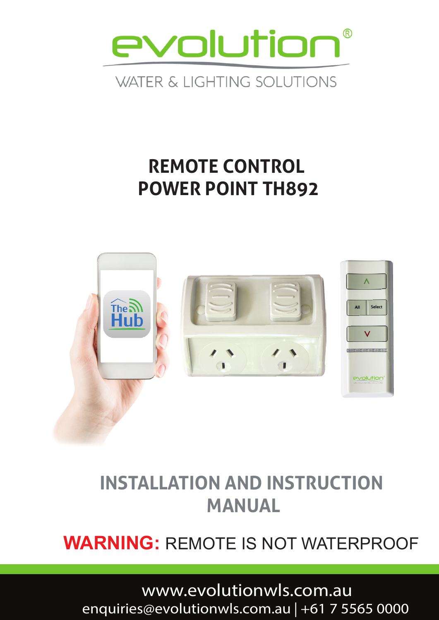

### **WATER & LIGHTING SOLUTIONS**

# **REMOTE CONTROL POWER POINT TH892**



# **INSTALLATION AND INSTRUCTION MANUAL**

## **WARNING:** REMOTE IS NOT WATERPROOF

# www.evolutionwls.com.au<br>enquiries@evolutionwls.com.au | +61 7 5565 0000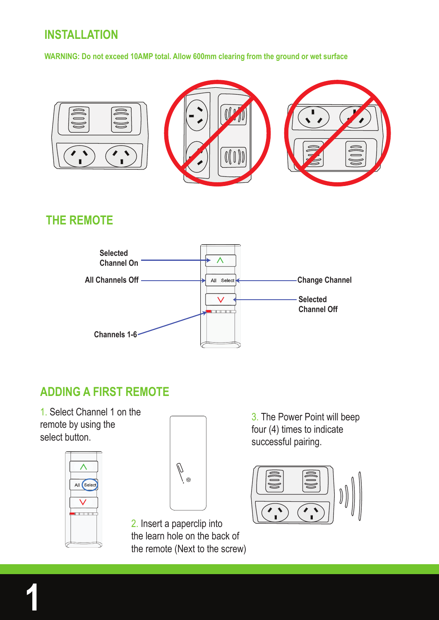#### **INSTALLATION**

**WARNING: Do not exceed 10AMP total. Allow 600mm clearing from the ground or wet surface**



#### **THE REMOTE**



#### **ADDING A FIRST REMOTE**

1. Select Channel 1 on the remote by using the select button.





2. Insert a paperclip into the learn hole on the back of the remote (Next to the screw)

3. The Power Point will beep four (4) times to indicate successful pairing.

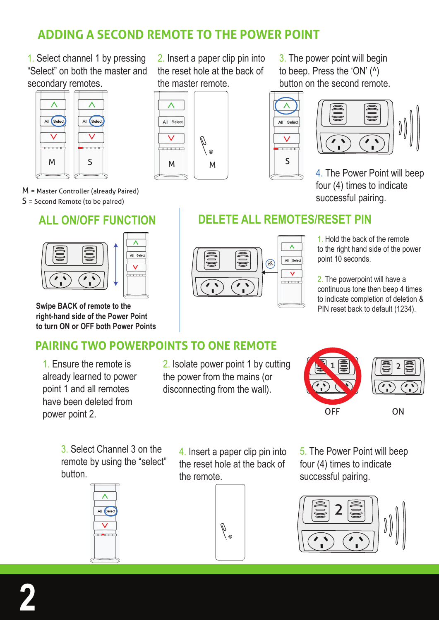#### **ADDING A SECOND REMOTE TO THE POWER POINT**

 $\lambda$ 

All Select

 $\overline{\vee}$ 

-----

the master remote.

1. Select channel 1 by pressing "Select" on both the master and secondary remotes.



M = Master Controller (already Paired) S = Second Remote (to be paired)

#### **ALL ON/OFF FUNCTION DELETE ALL REMOTES/RESET PIN**





**Swipe BACK of remote to the right-hand side of the Power Point to turn ON or OFF both Power Points**

#### **PAIRING TWO POWERPOINTS TO ONE REMOTE**

1. Ensure the remote is already learned to power point 1 and all remotes have been deleted from power point 2.

2. Isolate power point 1 by cutting the power from the mains (or disconnecting from the wall).

OFF ON  $1$   $\ddot{=}$   $\ddot{ }$   $\parallel$   $\ddot{=}$   $\vert$   $\ddot{ }$   $\vert$ 

3. Select Channel 3 on the remote by using the "select" button.



4. Insert a paper clip pin into the reset hole at the back of the remote.



5. The Power Point will beep four (4) times to indicate successful pairing.







1. Hold the back of the remote to the right hand side of the power point 10 seconds.

2. The powerpoint will have a continuous tone then beep 4 times to indicate completion of deletion & PIN reset back to default (1234).

2. Insert a paper clip pin into the reset hole at the back of 3. The power point will begin to beep. Press the 'ON' (^) button on the second remote.





4. The Power Point will beep

four (4) times to indicate successful pairing.